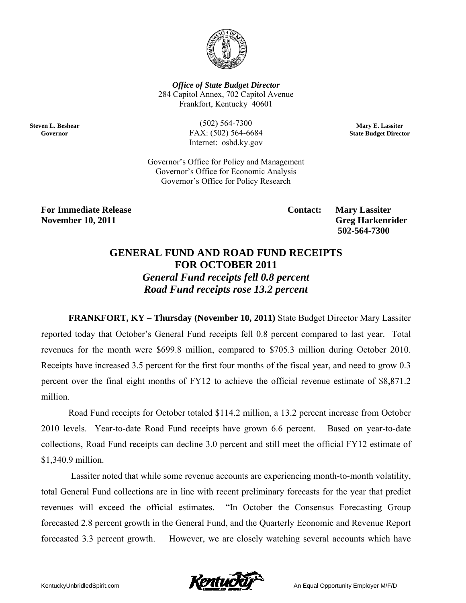

**Office of State Budget Director** 284 Capitol Annex, 702 Capitol Avenue Frankfort, Kentucky 40601

**Steven L. Beshear** Governor

 $(502) 564 - 7300$ FAX: (502) 564-6684 Internet: osbd.ky.gov

Mary E. Lassiter **State Budget Director** 

Governor's Office for Policy and Management Governor's Office for Economic Analysis Governor's Office for Policy Research

**For Immediate Release November 10, 2011** 

**Contact:** 

**Mary Lassiter Greg Harkenrider** 502-564-7300

## **GENERAL FUND AND ROAD FUND RECEIPTS FOR OCTOBER 2011**

**General Fund receipts fell 0.8 percent** Road Fund receipts rose 13.2 percent

**FRANKFORT, KY – Thursday (November 10, 2011)** State Budget Director Mary Lassiter reported today that October's General Fund receipts fell 0.8 percent compared to last year. Total revenues for the month were \$699.8 million, compared to \$705.3 million during October 2010. Receipts have increased 3.5 percent for the first four months of the fiscal year, and need to grow 0.3 percent over the final eight months of FY12 to achieve the official revenue estimate of \$8,871.2 million

Road Fund receipts for October totaled \$114.2 million, a 13.2 percent increase from October 2010 levels. Year-to-date Road Fund receipts have grown 6.6 percent. Based on year-to-date collections, Road Fund receipts can decline 3.0 percent and still meet the official FY12 estimate of \$1,340.9 million.

Lassiter noted that while some revenue accounts are experiencing month-to-month volatility, total General Fund collections are in line with recent preliminary forecasts for the year that predict revenues will exceed the official estimates. "In October the Consensus Forecasting Group forecasted 2.8 percent growth in the General Fund, and the Quarterly Economic and Revenue Report forecasted 3.3 percent growth. However, we are closely watching several accounts which have

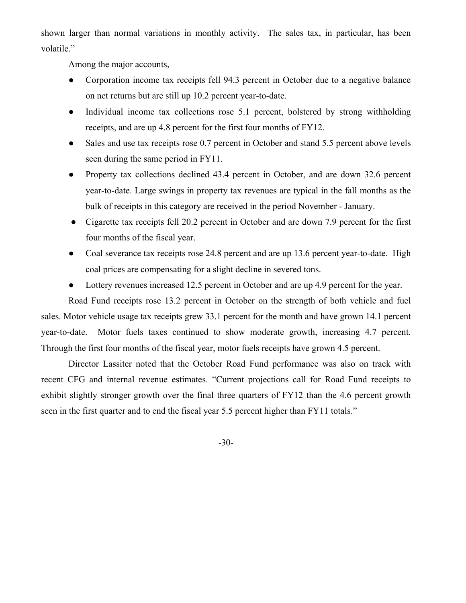shown larger than normal variations in monthly activity. The sales tax, in particular, has been volatile."

Among the major accounts,

- Corporation income tax receipts fell 94.3 percent in October due to a negative balance on net returns but are still up 10.2 percent year-to-date.
- Individual income tax collections rose 5.1 percent, bolstered by strong withholding receipts, and are up 4.8 percent for the first four months of FY12.
- Sales and use tax receipts rose 0.7 percent in October and stand 5.5 percent above levels seen during the same period in FY11.
- Property tax collections declined 43.4 percent in October, and are down 32.6 percent year-to-date. Large swings in property tax revenues are typical in the fall months as the bulk of receipts in this category are received in the period November - January.
- Cigarette tax receipts fell 20.2 percent in October and are down 7.9 percent for the first four months of the fiscal year.
- Coal severance tax receipts rose 24.8 percent and are up 13.6 percent year-to-date. High coal prices are compensating for a slight decline in severed tons.
- Lottery revenues increased 12.5 percent in October and are up 4.9 percent for the year.

Road Fund receipts rose 13.2 percent in October on the strength of both vehicle and fuel sales. Motor vehicle usage tax receipts grew 33.1 percent for the month and have grown 14.1 percent year-to-date. Motor fuels taxes continued to show moderate growth, increasing 4.7 percent. Through the first four months of the fiscal year, motor fuels receipts have grown 4.5 percent.

Director Lassiter noted that the October Road Fund performance was also on track with recent CFG and internal revenue estimates. "Current projections call for Road Fund receipts to exhibit slightly stronger growth over the final three quarters of FY12 than the 4.6 percent growth seen in the first quarter and to end the fiscal year 5.5 percent higher than FY11 totals."

-30-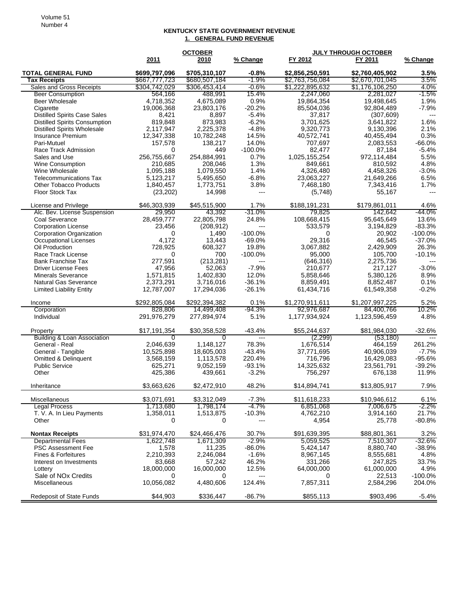## **KENTUCKY STATE GOVERNMENT REVENUE 1. GENERAL FUND REVENUE**

|                                                                            |                      | <b>OCTOBER</b>         |                    |                        | <b>JULY THROUGH OCTOBER</b> |                      |
|----------------------------------------------------------------------------|----------------------|------------------------|--------------------|------------------------|-----------------------------|----------------------|
|                                                                            | 2011                 | 2010                   | % Change           | FY 2012                | FY 2011                     | % Change             |
| <b>TOTAL GENERAL FUND</b>                                                  | \$699,797,096        | \$705,310,107          | -0.8%              | \$2,856,250,591        | \$2,760,405,902             | 3.5%                 |
| <b>Tax Receipts</b>                                                        | \$667,777,723        | \$680,507,184          | $-1.9\%$           | \$2,763,756,084        | \$2,670,701,045             | 3.5%                 |
| Sales and Gross Receipts                                                   | \$304,742,029        | \$306,453,414          | -0.6%              | \$1,222,895,632        | \$1,176,106,250             | 4.0%                 |
| <b>Beer Consumption</b>                                                    | 564,166              | 488,991                | 15.4%              | 2,247,060              | 2,281,027                   | $-1.5\%$             |
| <b>Beer Wholesale</b>                                                      | 4,718,352            | 4.675.089              | 0.9%               | 19,864,354             | 19,498,645                  | 1.9%                 |
| Cigarette                                                                  | 19,006,368           | 23,803,176             | $-20.2%$           | 85,504,036             | 92,804,489                  | $-7.9%$              |
| <b>Distilled Spirits Case Sales</b>                                        | 8,421<br>819,848     | 8,897                  | $-5.4%$<br>$-6.2%$ | 37,817                 | (307, 609)                  | ---<br>1.6%          |
| <b>Distilled Spirits Consumption</b><br><b>Distilled Spirits Wholesale</b> | 2,117,947            | 873,983<br>2,225,378   | $-4.8%$            | 3,701,625<br>9,320,773 | 3,641,822<br>9,130,396      | 2.1%                 |
| Insurance Premium                                                          | 12,347,338           | 10,782,248             | 14.5%              | 40,572,741             | 40,455,494                  | 0.3%                 |
| Pari-Mutuel                                                                | 157,578              | 138,217                | 14.0%              | 707,697                | 2,083,553                   | $-66.0%$             |
| Race Track Admission                                                       | 0                    | 449                    | $-100.0%$          | 82,477                 | 87,184                      | $-5.4%$              |
| Sales and Use                                                              | 256,755,667          | 254,884,991            | 0.7%               | 1,025,155,254          | 972,114,484                 | 5.5%                 |
| Wine Consumption                                                           | 210,685              | 208,046                | 1.3%               | 849,661                | 810,592                     | 4.8%                 |
| Wine Wholesale                                                             | 1,095,188            | 1,079,550              | 1.4%               | 4,326,480              | 4,458,326                   | $-3.0%$              |
| <b>Telecommunications Tax</b>                                              | 5,123,217            | 5,495,650              | $-6.8%$            | 23,063,227             | 21,649,266                  | 6.5%                 |
| <b>Other Tobacco Products</b>                                              | 1,840,457            | 1,773,751              | 3.8%               | 7,468,180              | 7,343,416                   | 1.7%                 |
| Floor Stock Tax                                                            | (23, 202)            | 14,998                 | $\overline{a}$     | (5,748)                | 55,167                      | $---$                |
| License and Privilege                                                      | \$46,303,939         | \$45,515,900           | 1.7%               | \$188,191,231          | \$179,861,011               | 4.6%                 |
| Alc. Bev. License Suspension                                               | 29,950               | 43,392                 | $-31.0%$           | 79,825                 | 142,642                     | -44.0%               |
| <b>Coal Severance</b>                                                      | 28,459,777           | 22,805,798             | 24.8%              | 108,668,415            | 95,645,649                  | 13.6%                |
| <b>Corporation License</b>                                                 | 23,456               | (208, 912)             | $---$              | 533,579                | 3,194,829                   | $-83.3%$             |
| Corporation Organization                                                   | 0<br>4.172           | 1,490                  | $-100.0%$          | 0                      | 20,902<br>46.545            | $-100.0%$            |
| <b>Occupational Licenses</b><br>Oil Production                             | 728,925              | 13,443<br>608,327      | $-69.0%$<br>19.8%  | 29,316<br>3,067,882    | 2,429,909                   | $-37.0%$<br>26.3%    |
| Race Track License                                                         | 0                    | 700                    | $-100.0%$          | 95.000                 | 105.700                     | -10.1%               |
| <b>Bank Franchise Tax</b>                                                  | 277,591              | (213, 281)             | ---                | (646, 316)             | 2,275,736                   | ---                  |
| <b>Driver License Fees</b>                                                 | 47,956               | 52.063                 | $-7.9%$            | 210,677                | 217,127                     | $-3.0%$              |
| <b>Minerals Severance</b>                                                  | 1,571,815            | 1,402,830              | 12.0%              | 5,858,646              | 5,380,126                   | 8.9%                 |
| Natural Gas Severance                                                      | 2,373,291            | 3,716,016              | $-36.1%$           | 8,859,491              | 8,852,487                   | 0.1%                 |
| <b>Limited Liability Entity</b>                                            | 12,787,007           | 17,294,036             | $-26.1%$           | 61,434,716             | 61,549,358                  | $-0.2%$              |
| Income                                                                     | \$292,805,084        | \$292,394,382          | 0.1%               | \$1,270,911,611        | \$1,207,997,225             | 5.2%                 |
| Corporation                                                                | 828,806              | 14,499,408             | -94.3%             | 92,976,687             | 84,400,766                  | 10.2%                |
| Individual                                                                 | 291,976,279          | 277,894,974            | 5.1%               | 1,177,934,924          | 1,123,596,459               | 4.8%                 |
| Property                                                                   | \$17,191,354         | \$30,358,528           | $-43.4%$           | \$55,244,637           | \$81,984,030                | $-32.6%$             |
| <b>Building &amp; Loan Association</b>                                     | 0                    | 0                      | $\overline{a}$     | (2, 299)               | (53, 180)                   | $---$                |
| General - Real                                                             | 2,046,639            | 1,148,127              | 78.3%              | 1.676.514              | 464,159                     | 261.2%               |
| General - Tangible                                                         | 10,525,898           | 18,605,003             | $-43.4%$<br>220.4% | 37,771,695             | 40,906,039                  | $-7.7%$              |
| <b>Omitted &amp; Delinquent</b><br><b>Public Service</b>                   | 3,568,159<br>625,271 | 1,113,578<br>9,052,159 | $-93.1%$           | 716,796<br>14,325,632  | 16,429,083<br>23,561,791    | $-95.6%$<br>$-39.2%$ |
| Other                                                                      | 425,386              | 439,661                | $-3.2%$            | 756,297                | 676,138                     | 11.9%                |
|                                                                            |                      |                        |                    |                        |                             |                      |
| Inheritance                                                                | \$3,663,626          | \$2,472,910            | 48.2%              | \$14,894,741           | \$13,805,917                | 7.9%                 |
| <b>Miscellaneous</b>                                                       | \$3,071,691          | \$3,312,049            | $-7.3%$            | \$11,618,233           | \$10.946.612                | 6.1%                 |
| <b>Legal Process</b>                                                       | 1,713,680            | 1,798,174              | -4.7%              | 6,851,068              | 7,006,675                   | $-2.2\%$             |
| T. V. A. In Lieu Payments                                                  | 1,358,011            | 1,513,875              | $-10.3%$           | 4,762,210              | 3,914,160                   | 21.7%                |
| Other                                                                      | 0                    | 0                      | $---$              | 4,954                  | 25,778                      | $-80.8%$             |
| <b>Nontax Receipts</b>                                                     | \$31,974,470         | \$24,466,476           | 30.7%              | \$91,639,395           | \$88,801,361                | 3.2%                 |
| <b>Departmental Fees</b>                                                   | 1,622,748            | 1,671,309              | $-2.9%$            | 5,059,525              | 7,510,307                   | $-32.6%$             |
| <b>PSC Assessment Fee</b>                                                  | 1,578                | 11,235                 | $-86.0%$           | 5,424,147<br>8,967,145 | 8,880,740<br>8,555,681      | $-38.9%$             |
| Fines & Forfeitures<br>Interest on Investments                             | 2,210,393<br>83,668  | 2,246,084<br>57,242    | $-1.6%$<br>46.2%   | 331,266                | 247,825                     | 4.8%<br>33.7%        |
| Lottery                                                                    | 18,000,000           | 16,000,000             | 12.5%              | 64,000,000             | 61,000,000                  | 4.9%                 |
| Sale of NOx Credits                                                        | 0                    | 0                      | $---$              | 0                      | 22,513                      | $-100.0\%$           |
| Miscellaneous                                                              | 10,056,082           | 4,480,606              | 124.4%             | 7,857,311              | 2,584,296                   | 204.0%               |
| <b>Redeposit of State Funds</b>                                            | \$44,903             | \$336,447              | $-86.7%$           | \$855,113              | \$903,496                   | $-5.4%$              |
|                                                                            |                      |                        |                    |                        |                             |                      |